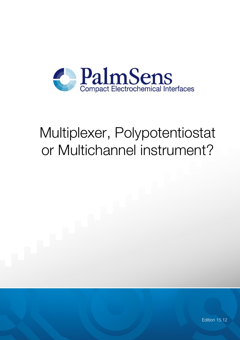

# Multiplexer, Polypotentiostat or Multichannel instrument?

Edition 15.12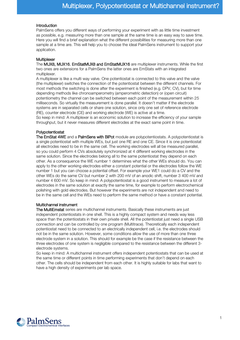#### Introduction

PalmSens offers you different ways of performing your experiment with as little time investment as possible, e.g. measuring more than one sample at the same time is an easy way to save time. Here you will find a brief explanation what the different possibilities for measuring more than one sample at a time are. This will help you to choose the ideal PalmSens instrument to support your application.

## **Multiplexer**

The [MUX8, MUX16,](http://www.palmsens.com/en/instruments/palmsens/tab#3) [EmStatMUX8 and EmStatMUX16](http://www.palmsens.com/en/instruments/emstatmux/) are multiplexer instruments. While the first two ones are extensions for a PalmSens the latter ones are EmStats with an integrated multiplexer.

A multiplexer is like a multi way valve. One potentiostat is connected to this valve and the valve (the multiplexer) switches the connection of the potentiostat between the different channels. For most methods the switching is done after the experiment is finished (e.g. DPV, CV), but for time depending methods like chronoamperometry (amperometric detection) or (open circuit) potentiometry the channel can be switched between each point of the measurement within 25 milliseconds. So virtually the measurement is done parallel. It doesn't matter if the electrode systems are in separated cells or share one solution, since only one set of reference electrode (RE), counter electrode (CE) and working electrode (WE) is active at a time. So keep in mind: A multiplexer is an economic solution to increase the efficiency of your sample

throughput, but it never measures different electrodes at the exact same point in time.

## Polypotentiostat

[The EmStat 4WE](http://www.palmsens.com/instruments/multiemstat/#tab4) and [a PalmSens with BiPot](http://www.palmsens.com/en/instruments/palmsens/tab#4) module are polypotentiostats. A polypotentiostat is a single potentiostat with multiple WEs, but just one RE and one CE. Since it is one potentiostat all electrodes need to be in the same cell. The working electrodes will all be measured parallel, so you could perform 4 CVs absolutely synchronized at 4 different working electrodes in the same solution. Since the electrodes belong all to the same potentiostat they depend on each other. As a consequence the WE number 1 determines what the other WEs should do. You can apply to the other working electrodes either a constant potential or the electrodes follow the WE number 1 but you can choose a potential offset. For example your WE1 could do a CV and the other WEs do the same CV but number 2 with 200 mV of an anodic shift, number 3 400 mV and number 4 600 mV. So keep in mind: A polypotentiostat is a good instrument to measure a lot of electrodes in the same solution at exactly the same time, for example to perform electrochemical polishing with gold electrodes. But however the experiments are not independent and need to be in the same cell and the WEs need to perform the same method or have a constant potential.

#### Multichannel instrument

[The MultiEmstat](http://www.palmsens.com/en/instruments/multiemstat/) series are multichannel instruments. Basically these instruments are just independent potentiostats in one shell. This is a highly compact system and needs way less space than the potentiostats in their own private shell. All the potentiostat just need a single USB connection and can be controlled by one program (Multitrace). Theoretically each independent potentiostat need to be connected to an electrically independent cell, i.e. the electrodes should not be in the same solution. However, some conditions allow the use of more than one three electrode system in a solution. This should for example be the case if the resistance between the three electrodes of one system is negligible compared to the resistance between the different 3 electrode systems.

So keep in mind: A multichannel instrument offers independent potentiostats that can be used at the same time or different points in time performing experiments that don't depend on each other. The cells should be independent from each other. It is highly suitable for labs that want to have a high density of experiments per lab space.